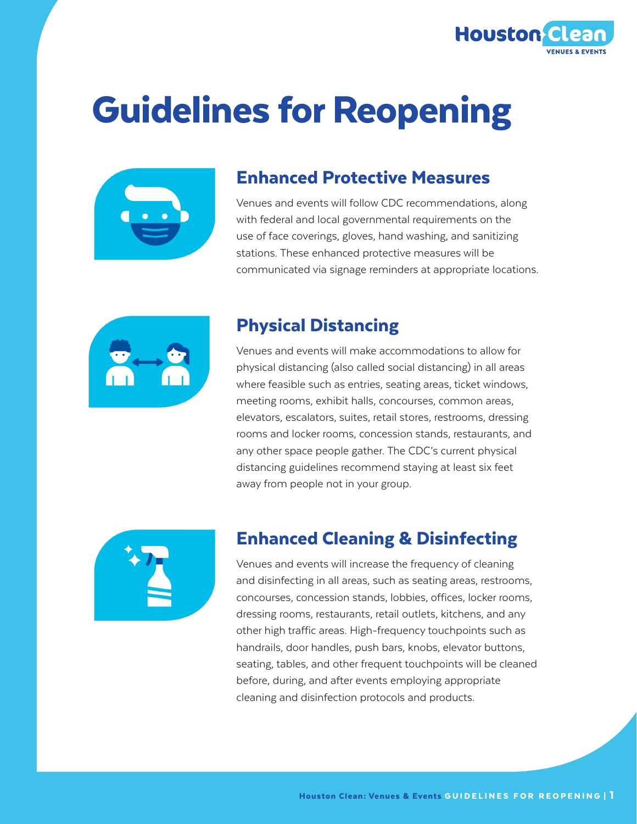

# Guidelines for Reopening



#### Enhanced Protective Measures

Venues and events will follow CDC recommendations, along with federal and local governmental requirements on the use of face coverings, gloves, hand washing, and sanitizing stations. These enhanced protective measures will be communicated via signage reminders at appropriate locations.



#### Physical Distancing

Venues and events will make accommodations to allow for physical distancing (also called social distancing) in all areas where feasible such as entries, seating areas, ticket windows, meeting rooms, exhibit halls, concourses, common areas, elevators, escalators, suites, retail stores, restrooms, dressing rooms and locker rooms, concession stands, restaurants, and any other space people gather. The CDC's current physical distancing guidelines recommend staying at least six feet away from people not in your group.



#### Enhanced Cleaning & Disinfecting

Venues and events will increase the frequency of cleaning and disinfecting in all areas, such as seating areas, restrooms, concourses, concession stands, lobbies, offices, locker rooms, dressing rooms, restaurants, retail outlets, kitchens, and any other high traffic areas. High-frequency touchpoints such as handrails, door handles, push bars, knobs, elevator buttons, seating, tables, and other frequent touchpoints will be cleaned before, during, and after events employing appropriate cleaning and disinfection protocols and products.